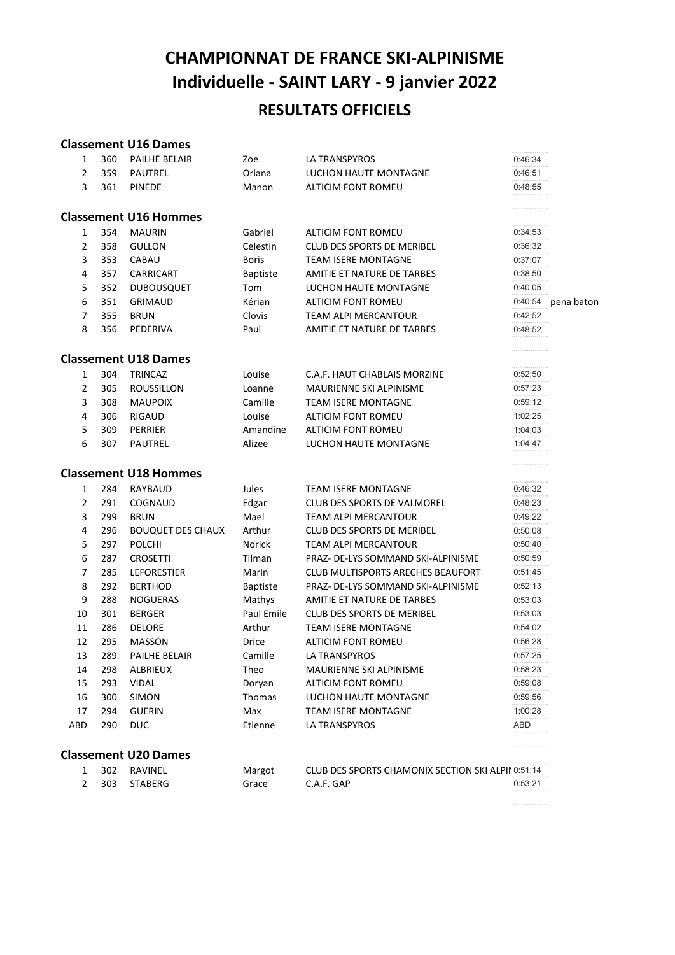# CHAMPIONNAT DE FRANCE SKI-ALPINISME Individuelle - SAINT LARY - 9 janvier 2022 RESULTATS OFFICIELS

# Classement U16 Dames

| 1              | 360 | <b>PAILHE BELAIR</b>         | Zoe             | LA TRANSPYROS                                     | 0:46:34 |            |
|----------------|-----|------------------------------|-----------------|---------------------------------------------------|---------|------------|
| $\overline{2}$ | 359 | PAUTREL                      | Oriana          | <b>LUCHON HAUTE MONTAGNE</b>                      | 0:46:51 |            |
| 3              | 361 | <b>PINEDE</b>                | Manon           | <b>ALTICIM FONT ROMEU</b>                         | 0:48:55 |            |
|                |     | <b>Classement U16 Hommes</b> |                 |                                                   | .       |            |
| 1              | 354 | <b>MAURIN</b>                | Gabriel         | <b>ALTICIM FONT ROMEU</b>                         | 0:34:53 |            |
| $\overline{2}$ | 358 | <b>GULLON</b>                | Celestin        | <b>CLUB DES SPORTS DE MERIBEL</b>                 | 0:36:32 |            |
| 3              | 353 | CABAU                        | <b>Boris</b>    | <b>TEAM ISERE MONTAGNE</b>                        | 0:37:07 |            |
| 4              | 357 | CARRICART                    | <b>Baptiste</b> | AMITIE ET NATURE DE TARBES                        | 0:38:50 |            |
| 5              | 352 | <b>DUBOUSQUET</b>            | Tom             | LUCHON HAUTE MONTAGNE                             | 0:40:05 |            |
| 6              | 351 | <b>GRIMAUD</b>               | Kérian          | ALTICIM FONT ROMEU                                | 0:40:54 | pena baton |
| 7              | 355 | <b>BRUN</b>                  | Clovis          | TEAM ALPI MERCANTOUR                              | 0:42:52 |            |
| 8              | 356 | PEDERIVA                     | Paul            | AMITIE ET NATURE DE TARBES                        | 0:48:52 |            |
|                |     | <b>Classement U18 Dames</b>  |                 |                                                   |         |            |
| $\mathbf{1}$   | 304 | <b>TRINCAZ</b>               | Louise          | C.A.F. HAUT CHABLAIS MORZINE                      | 0:52:50 |            |
| 2              | 305 | <b>ROUSSILLON</b>            | Loanne          | MAURIENNE SKI ALPINISME                           | 0:57:23 |            |
| 3              | 308 | <b>MAUPOIX</b>               | Camille         | <b>TEAM ISERE MONTAGNE</b>                        | 0:59:12 |            |
| 4              | 306 | <b>RIGAUD</b>                | Louise          | ALTICIM FONT ROMEU                                | 1:02:25 |            |
| 5              | 309 | PERRIER                      | Amandine        | ALTICIM FONT ROMEU                                | 1:04:03 |            |
| 6              | 307 | PAUTREL                      | Alizee          | LUCHON HAUTE MONTAGNE                             | 1:04:47 |            |
|                |     | <b>Classement U18 Hommes</b> |                 |                                                   |         |            |
| $\mathbf{1}$   | 284 | RAYBAUD                      | Jules           | <b>TEAM ISERE MONTAGNE</b>                        | 0:46:32 |            |
| 2              | 291 | COGNAUD                      | Edgar           | <b>CLUB DES SPORTS DE VALMOREL</b>                | 0:48:23 |            |
| 3              | 299 | <b>BRUN</b>                  | Mael            | TEAM ALPI MERCANTOUR                              | 0:49:22 |            |
| 4              | 296 | <b>BOUQUET DES CHAUX</b>     | Arthur          | <b>CLUB DES SPORTS DE MERIBEL</b>                 | 0:50:08 |            |
| 5              | 297 | <b>POLCHI</b>                | Norick          | TEAM ALPI MERCANTOUR                              | 0:50:40 |            |
| 6              | 287 | <b>CROSETTI</b>              | Tilman          | PRAZ- DE-LYS SOMMAND SKI-ALPINISME                | 0:50:59 |            |
| 7              | 285 | LEFORESTIER                  | Marin           | <b>CLUB MULTISPORTS ARECHES BEAUFORT</b>          | 0:51:45 |            |
| 8              | 292 | <b>BERTHOD</b>               | <b>Baptiste</b> | PRAZ- DE-LYS SOMMAND SKI-ALPINISME                | 0:52:13 |            |
| 9              | 288 | <b>NOGUERAS</b>              | Mathys          | AMITIE ET NATURE DE TARBES                        | 0:53:03 |            |
| 10             | 301 | <b>BERGER</b>                | Paul Emile      | <b>CLUB DES SPORTS DE MERIBEL</b>                 | 0:53:03 |            |
| 11             | 286 | <b>DELORE</b>                | Arthur          | <b>TEAM ISERE MONTAGNE</b>                        | 0:54:02 |            |
| 12             | 295 | <b>MASSON</b>                | Drice           | ALTICIM FONT ROMEU                                | 0:56:28 |            |
| 13             | 289 | PAILHE BELAIR                | Camille         | LA TRANSPYROS                                     | 0:57:25 |            |
| 14             | 298 | ALBRIEUX                     | Theo            | MAURIENNE SKI ALPINISME                           | 0:58:23 |            |
| 15             | 293 | <b>VIDAL</b>                 | Doryan          | ALTICIM FONT ROMEU                                | 0:59:08 |            |
| 16             | 300 | <b>SIMON</b>                 | Thomas          | LUCHON HAUTE MONTAGNE                             | 0:59:56 |            |
| 17             | 294 | <b>GUERIN</b>                | Max             | <b>TEAM ISERE MONTAGNE</b>                        | 1:00:28 |            |
| ABD            | 290 | <b>DUC</b>                   | Etienne         | LA TRANSPYROS                                     | ABD     |            |
|                |     | <b>Classement U20 Dames</b>  |                 |                                                   | .       |            |
| 1              | 302 | RAVINEL                      | Margot          | CLUB DES SPORTS CHAMONIX SECTION SKI ALPINO:51:14 |         |            |
| $\overline{2}$ | 303 | <b>STABERG</b>               | Grace           | C.A.F. GAP                                        | 0:53:21 |            |
|                |     |                              |                 |                                                   |         |            |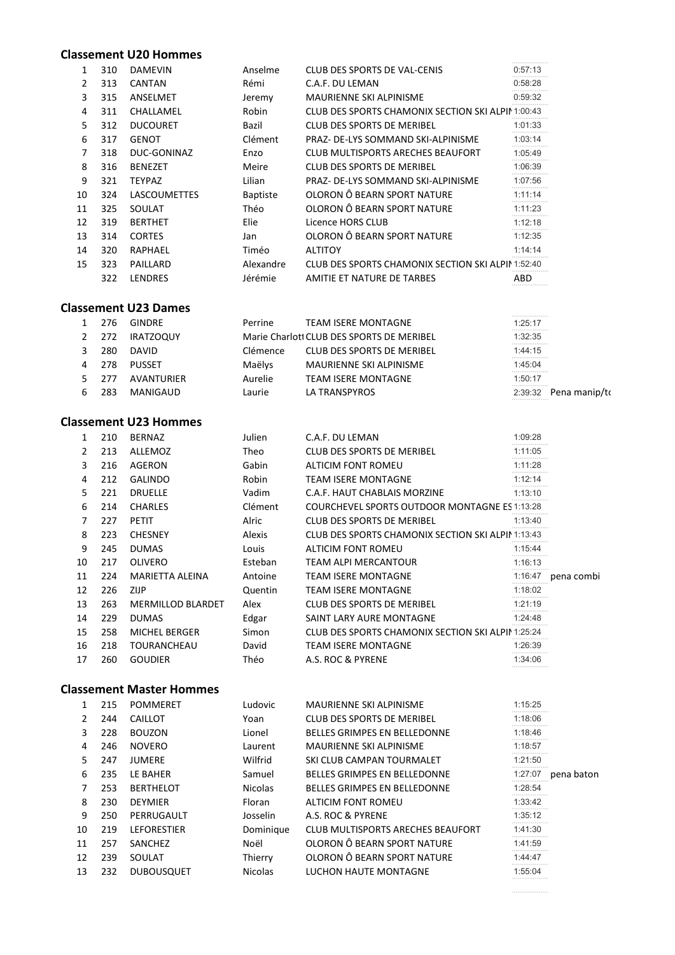#### Classement U20 Hommes

| 310 | <b>DAMEVIN</b>      | Anselme         | <b>CLUB DES SPORTS DE VAL-CENIS</b> | 0:57:13                                                                                                                |
|-----|---------------------|-----------------|-------------------------------------|------------------------------------------------------------------------------------------------------------------------|
| 313 | <b>CANTAN</b>       | Rémi            | C.A.F. DU LEMAN                     | 0:58:28                                                                                                                |
| 315 | ANSELMET            | Jeremy          | <b>MAURIENNE SKI ALPINISME</b>      | 0:59:32                                                                                                                |
| 311 | CHALLAMEL           | Robin           |                                     |                                                                                                                        |
| 312 | <b>DUCOURET</b>     | Bazil           | CLUB DES SPORTS DE MERIBEL          | 1:01:33                                                                                                                |
| 317 | <b>GENOT</b>        | Clément         | PRAZ- DE-LYS SOMMAND SKI-ALPINISME  | 1:03:14                                                                                                                |
| 318 | DUC-GONINAZ         | Enzo            | CLUB MULTISPORTS ARECHES BEAUFORT   | 1:05:49                                                                                                                |
| 316 | <b>BENEZET</b>      | Meire           | CLUB DES SPORTS DE MERIBEL          | 1:06:39                                                                                                                |
| 321 | TEYPAZ              | Lilian          | PRAZ- DE-LYS SOMMAND SKI-ALPINISME  | 1:07:56                                                                                                                |
| 324 | <b>LASCOUMETTES</b> | <b>Baptiste</b> | OLORON Ô BEARN SPORT NATURE         | 1:11:14                                                                                                                |
| 325 | SOULAT              | Théo            | OLORON Ô BEARN SPORT NATURE         | 1:11:23                                                                                                                |
| 319 | <b>BERTHET</b>      | Elie            | Licence HORS CLUB                   | 1:12:18                                                                                                                |
| 314 | <b>CORTES</b>       | Jan             | OLORON Ô BEARN SPORT NATURE         | 1:12:35                                                                                                                |
| 320 | RAPHAEL             | Timéo           | <b>ALTITOY</b>                      | 1:14:14                                                                                                                |
| 323 | PAILLARD            | Alexandre       |                                     |                                                                                                                        |
| 322 | <b>LENDRES</b>      | Jérémie         | AMITIE ET NATURE DE TARBES          | ABD                                                                                                                    |
|     |                     |                 |                                     | <b>CLUB DES SPORTS CHAMONIX SECTION SKI ALPIN 1:00:43</b><br><b>CLUB DES SPORTS CHAMONIX SECTION SKI ALPIN 1:52:40</b> |

### Classement U23 Dames

|   | 276  | GINDRE           | Perrine  | <b>TEAM ISERE MONTAGNE</b>                | <b>*******************</b><br>1:25:17<br> |                         |
|---|------|------------------|----------|-------------------------------------------|-------------------------------------------|-------------------------|
|   | 272  | <b>IRATZOQUY</b> |          | Marie Charlott CLUB DES SPORTS DE MERIBEL | 1:32:35<br>                               |                         |
|   | 280  | <b>DAVID</b>     | Clémence | CLUB DES SPORTS DE MERIBEL                | 1:44:15<br>                               |                         |
| 4 | 278  | <b>PUSSET</b>    | Maëlys   | MAURIENNE SKI ALPINISME                   | 1:45:04<br>                               |                         |
|   | -277 | AVANTURIER       | Aurelie  | <b>TEAM ISERE MONTAGNE</b>                | 1:50:17<br><b>*******************</b> *   |                         |
|   | 283  | MANIGAUD         | Laurie   | LA TRANSPYROS                             | <b></b>                                   | $2:39:32$ Pena manip/to |

# Classement U23 Hommes

| 1  | 210 | <b>BERNAZ</b>            | Julien  | C.A.F. DU LEMAN                                      | 1:09:28                              |            |
|----|-----|--------------------------|---------|------------------------------------------------------|--------------------------------------|------------|
| 2  | 213 | ALLEMOZ                  | Theo    | <b>CLUB DES SPORTS DE MERIBEL</b>                    | 1:11:05                              |            |
| 3  | 216 | AGERON                   | Gabin   | ALTICIM FONT ROMEU                                   | 1:11:28<br><b>******************</b> |            |
| 4  | 212 | <b>GALINDO</b>           | Robin   | <b>TEAM ISERE MONTAGNE</b>                           | 1:12:14<br>                          |            |
| 5  | 221 | <b>DRUELLE</b>           | Vadim   | C.A.F. HAUT CHABLAIS MORZINE                         | 1:13:10<br>.                         |            |
| 6  | 214 | <b>CHARLES</b>           | Clément | <b>COURCHEVEL SPORTS OUTDOOR MONTAGNE ES 1:13:28</b> |                                      |            |
| 7  | 227 | <b>PETIT</b>             | Alric   | <b>CLUB DES SPORTS DE MERIBEL</b>                    | 1:13:40                              |            |
| 8  | 223 | <b>CHESNEY</b>           | Alexis  | CLUB DES SPORTS CHAMONIX SECTION SKI ALPIN 1:13:43   |                                      |            |
| 9  | 245 | <b>DUMAS</b>             | Louis   | ALTICIM FONT ROMEU                                   | 1:15:44<br>                          |            |
| 10 | 217 | <b>OLIVERO</b>           | Esteban | TEAM ALPI MERCANTOUR                                 | 1:16:13<br>                          |            |
| 11 | 224 | MARIETTA ALEINA          | Antoine | <b>TEAM ISERE MONTAGNE</b>                           | 1:16:47                              | pena combi |
| 12 | 226 | ZIJP                     | Quentin | TEAM ISERE MONTAGNE                                  | 1:18:02                              |            |
| 13 | 263 | <b>MERMILLOD BLARDET</b> | Alex    | <b>CLUB DES SPORTS DE MERIBEL</b>                    | 1:21:19                              |            |
| 14 | 229 | <b>DUMAS</b>             | Edgar   | SAINT LARY AURE MONTAGNE                             | 1:24:48                              |            |
| 15 | 258 | <b>MICHEL BERGER</b>     | Simon   | CLUB DES SPORTS CHAMONIX SECTION SKI ALPIN 1:25:24   |                                      |            |
| 16 | 218 | TOURANCHEAU              | David   | TEAM ISERE MONTAGNE                                  | 1:26:39<br>                          |            |
| 17 | 260 | <b>GOUDIER</b>           | Théo    | A.S. ROC & PYRENE                                    | 1:34:06                              |            |

## Classement Master Hommes

|    | 215 | <b>POMMERET</b>    | Ludovic        | <b>MAURIENNE SKI ALPINISME</b>      | 1:15:25<br>.                            |            |
|----|-----|--------------------|----------------|-------------------------------------|-----------------------------------------|------------|
|    | 244 | CAILLOT            | Yoan           | <b>CLUB DES SPORTS DE MERIBEL</b>   | 1:18:06<br>                             |            |
| 3  | 228 | <b>BOUZON</b>      | Lionel         | <b>BELLES GRIMPES EN BELLEDONNE</b> | 1:18:46                                 |            |
| 4  | 246 | <b>NOVERO</b>      | Laurent        | <b>MAURIENNE SKI ALPINISME</b>      | 1:18:57                                 |            |
| 5  | 247 | <b>JUMERE</b>      | Wilfrid        | SKI CLUB CAMPAN TOURMALET           | 1:21:50                                 |            |
| 6  | 235 | LE BAHER           | Samuel         | <b>BELLES GRIMPES EN BELLEDONNE</b> | 1:27:07                                 | pena baton |
|    | 253 | <b>BERTHELOT</b>   | <b>Nicolas</b> | <b>BELLES GRIMPES EN BELLEDONNE</b> | 1:28:54<br>.                            |            |
| 8  | 230 | <b>DEYMIER</b>     | Floran         | ALTICIM FONT ROMEU                  | 1:33:42<br>.                            |            |
| 9  | 250 | PERRUGAULT         | Josselin       | A.S. ROC & PYRENE                   | 1:35:12                                 |            |
| 10 | 219 | <b>LEFORESTIER</b> | Dominique      | CLUB MULTISPORTS ARECHES BEAUFORT   | 1:41:30<br>                             |            |
| 11 | 257 | SANCHEZ            | Noël           | OLORON Ô BEARN SPORT NATURE         | 1:41:59                                 |            |
| 12 | 239 | SOULAT             | Thierry        | OLORON Ô BEARN SPORT NATURE         | 1:44:47                                 |            |
| 13 | 232 | <b>DUBOUSQUET</b>  | <b>Nicolas</b> | LUCHON HAUTE MONTAGNE               | 1:55:04<br><b>*******************</b> * |            |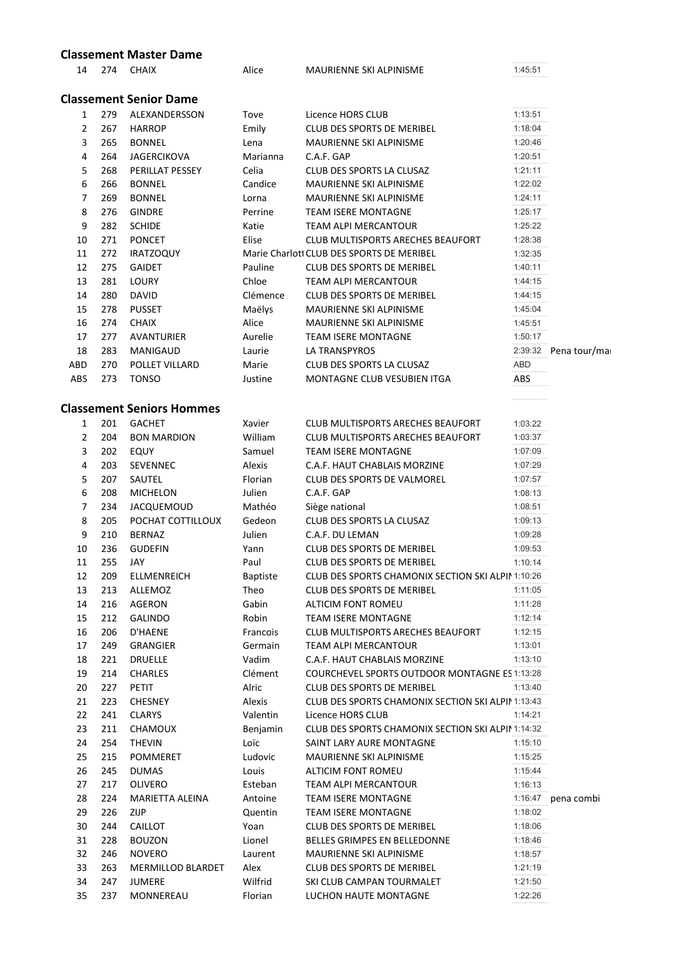|     |     | <b>Classement Master Dame</b>    |                 |                                                      |             |                        |
|-----|-----|----------------------------------|-----------------|------------------------------------------------------|-------------|------------------------|
| 14  |     | 274 CHAIX                        | Alice           | MAURIENNE SKI ALPINISME                              | <br>1:45:51 |                        |
|     |     | <b>Classement Senior Dame</b>    |                 |                                                      |             |                        |
| 1   | 279 | ALEXANDERSSON                    | Tove            | Licence HORS CLUB                                    | 1:13:51     |                        |
| 2   | 267 | <b>HARROP</b>                    | Emily           | <b>CLUB DES SPORTS DE MERIBEL</b>                    | 1:18:04     |                        |
| 3   | 265 | <b>BONNEL</b>                    | Lena            | MAURIENNE SKI ALPINISME                              | 1:20:46     |                        |
| 4   | 264 | JAGERCIKOVA                      | Marianna        | C.A.F. GAP                                           | 1:20:51     |                        |
| 5   | 268 | PERILLAT PESSEY                  | Celia           | CLUB DES SPORTS LA CLUSAZ                            | 1:21:11     |                        |
| 6   | 266 | <b>BONNEL</b>                    | Candice         | MAURIENNE SKI ALPINISME                              | 1:22:02     |                        |
| 7   | 269 | <b>BONNEL</b>                    | Lorna           | <b>MAURIENNE SKI ALPINISME</b>                       | 1:24:11     |                        |
| 8   | 276 | <b>GINDRE</b>                    | Perrine         | <b>TEAM ISERE MONTAGNE</b>                           | 1:25:17     |                        |
| 9   | 282 | <b>SCHIDE</b>                    | Katie           | TEAM ALPI MERCANTOUR                                 | 1:25:22     |                        |
| 10  | 271 | <b>PONCET</b>                    | Elise           | <b>CLUB MULTISPORTS ARECHES BEAUFORT</b>             | 1:28:38     |                        |
| 11  | 272 | <b>IRATZOQUY</b>                 |                 | Marie Charlott CLUB DES SPORTS DE MERIBEL            | 1:32:35     |                        |
| 12  | 275 | <b>GAIDET</b>                    | Pauline         | CLUB DES SPORTS DE MERIBEL                           | 1:40:11     |                        |
| 13  | 281 | LOURY                            | Chloe           | <b>TEAM ALPI MERCANTOUR</b>                          | 1:44:15     |                        |
| 14  | 280 | <b>DAVID</b>                     | Clémence        | <b>CLUB DES SPORTS DE MERIBEL</b>                    | 1:44:15     |                        |
| 15  | 278 | <b>PUSSET</b>                    | Maëlys          | MAURIENNE SKI ALPINISME                              | 1:45:04     |                        |
| 16  | 274 | <b>CHAIX</b>                     | Alice           | MAURIENNE SKI ALPINISME                              | 1:45:51     |                        |
| 17  | 277 | <b>AVANTURIER</b>                | Aurelie         | <b>TEAM ISERE MONTAGNE</b>                           | 1:50:17     |                        |
| 18  | 283 | MANIGAUD                         | Laurie          | LA TRANSPYROS                                        |             | 2:39:32 Pena tour/mail |
| ABD | 270 | POLLET VILLARD                   | Marie           | CLUB DES SPORTS LA CLUSAZ                            | ABD         |                        |
| ABS | 273 | <b>TONSO</b>                     | Justine         | MONTAGNE CLUB VESUBIEN ITGA                          | ABS         |                        |
|     |     | <b>Classement Seniors Hommes</b> |                 |                                                      |             |                        |
| 1   | 201 | <b>GACHET</b>                    | Xavier          | CLUB MULTISPORTS ARECHES BEAUFORT                    | 1:03:22     |                        |
| 2   | 204 | <b>BON MARDION</b>               | William         | CLUB MULTISPORTS ARECHES BEAUFORT                    | 1:03:37     |                        |
| 3   | 202 | EQUY                             | Samuel          | <b>TEAM ISERE MONTAGNE</b>                           | 1:07:09     |                        |
| 4   | 203 | SEVENNEC                         | Alexis          | C.A.F. HAUT CHABLAIS MORZINE                         | 1:07:29     |                        |
| 5   | 207 | SAUTEL                           | Florian         | <b>CLUB DES SPORTS DE VALMOREL</b>                   | 1:07:57     |                        |
| 6   | 208 | <b>MICHELON</b>                  | Julien          | C.A.F. GAP                                           | 1:08:13     |                        |
| 7   | 234 | JACQUEMOUD                       | Mathéo          | Siège national                                       | 1:08:51     |                        |
| 8   | 205 | POCHAT COTTILLOUX                | Gedeon          | CLUB DES SPORTS LA CLUSAZ                            | 1:09:13     |                        |
| 9   | 210 | <b>BERNAZ</b>                    | Julien          | C.A.F. DU LEMAN                                      | 1:09:28     |                        |
| 10  | 236 | <b>GUDEFIN</b>                   | Yann            | <b>CLUB DES SPORTS DE MERIBEL</b>                    | 1:09:53     |                        |
| 11  | 255 | JAY                              | Paul            | <b>CLUB DES SPORTS DE MERIBEL</b>                    | 1:10:14     |                        |
| 12  | 209 | <b>ELLMENREICH</b>               | <b>Baptiste</b> | CLUB DES SPORTS CHAMONIX SECTION SKI ALPIN 1:10:26   |             |                        |
| 13  | 213 | ALLEMOZ                          | Theo            | CLUB DES SPORTS DE MERIBEL                           | 1:11:05     |                        |
| 14  | 216 | AGERON                           | Gabin           | ALTICIM FONT ROMEU                                   | 1:11:28     |                        |
| 15  | 212 | GALINDO                          | Robin           | <b>TEAM ISERE MONTAGNE</b>                           | 1:12:14     |                        |
| 16  | 206 | D'HAENE                          | Francois        | <b>CLUB MULTISPORTS ARECHES BEAUFORT</b>             | 1:12:15     |                        |
| 17  | 249 | GRANGIER                         | Germain         | TEAM ALPI MERCANTOUR                                 | 1:13:01     |                        |
| 18  | 221 | <b>DRUELLE</b>                   | Vadim           | C.A.F. HAUT CHABLAIS MORZINE                         | 1:13:10     |                        |
| 19  | 214 | <b>CHARLES</b>                   | Clément         | <b>COURCHEVEL SPORTS OUTDOOR MONTAGNE ES 1:13:28</b> |             |                        |
| 20  | 227 | <b>PETIT</b>                     | Alric           | <b>CLUB DES SPORTS DE MERIBEL</b>                    | 1:13:40     |                        |
| 21  | 223 | <b>CHESNEY</b>                   | Alexis          | CLUB DES SPORTS CHAMONIX SECTION SKI ALPIN 1:13:43   |             |                        |
| 22  | 241 | <b>CLARYS</b>                    | Valentin        | Licence HORS CLUB                                    | 1:14:21     |                        |
| 23  | 211 | CHAMOUX                          | Benjamin        | CLUB DES SPORTS CHAMONIX SECTION SKI ALPIN 1:14:32   |             |                        |
| 24  | 254 | <b>THEVIN</b>                    | Loïc            | SAINT LARY AURE MONTAGNE                             | 1:15:10     |                        |
| 25  | 215 | <b>POMMERET</b>                  | Ludovic         | MAURIENNE SKI ALPINISME                              | 1:15:25     |                        |
| 26  | 245 | <b>DUMAS</b>                     | Louis           | ALTICIM FONT ROMEU                                   | 1:15:44     |                        |
| 27  | 217 | <b>OLIVERO</b>                   | Esteban         | TEAM ALPI MERCANTOUR                                 | 1:16:13     |                        |
| 28  | 224 | MARIETTA ALEINA                  | Antoine         | <b>TEAM ISERE MONTAGNE</b>                           |             | $1:16:47$ pena combi   |
| 29  | 226 | ZIJP                             | Quentin         | TEAM ISERE MONTAGNE                                  | 1:18:02     |                        |
| 30  | 244 | CAILLOT                          | Yoan            | <b>CLUB DES SPORTS DE MERIBEL</b>                    | 1:18:06     |                        |
| 31  | 228 | <b>BOUZON</b>                    | Lionel          | <b>BELLES GRIMPES EN BELLEDONNE</b>                  | 1:18:46     |                        |
| 32  | 246 | <b>NOVERO</b>                    | Laurent         | MAURIENNE SKI ALPINISME                              | 1:18:57     |                        |
| 33  | 263 | MERMILLOD BLARDET                | Alex            | CLUB DES SPORTS DE MERIBEL                           | 1:21:19     |                        |
| 34  | 247 | <b>JUMERE</b>                    | Wilfrid         | SKI CLUB CAMPAN TOURMALET                            | 1:21:50     |                        |
| 35  | 237 | MONNEREAU                        | Florian         | LUCHON HAUTE MONTAGNE                                | 1:22:26     |                        |